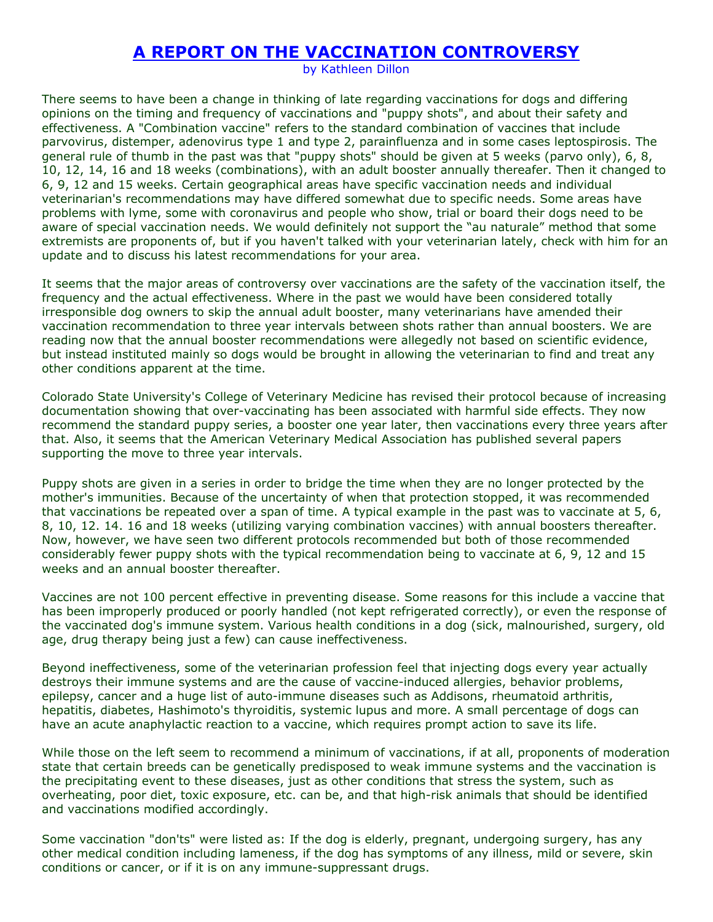## **A REPORT ON THE VACCINATION CONTROVERSY**

by Kathleen Dillon

There seems to have been a change in thinking of late regarding vaccinations for dogs and differing opinions on the timing and frequency of vaccinations and "puppy shots", and about their safety and effectiveness. A "Combination vaccine" refers to the standard combination of vaccines that include parvovirus, distemper, adenovirus type 1 and type 2, parainfluenza and in some cases leptospirosis. The general rule of thumb in the past was that "puppy shots" should be given at 5 weeks (parvo only), 6, 8, 10, 12, 14, 16 and 18 weeks (combinations), with an adult booster annually thereafer. Then it changed to 6, 9, 12 and 15 weeks. Certain geographical areas have specific vaccination needs and individual veterinarian's recommendations may have differed somewhat due to specific needs. Some areas have problems with lyme, some with coronavirus and people who show, trial or board their dogs need to be aware of special vaccination needs. We would definitely not support the "au naturale" method that some extremists are proponents of, but if you haven't talked with your veterinarian lately, check with him for an update and to discuss his latest recommendations for your area.

It seems that the major areas of controversy over vaccinations are the safety of the vaccination itself, the frequency and the actual effectiveness. Where in the past we would have been considered totally irresponsible dog owners to skip the annual adult booster, many veterinarians have amended their vaccination recommendation to three year intervals between shots rather than annual boosters. We are reading now that the annual booster recommendations were allegedly not based on scientific evidence, but instead instituted mainly so dogs would be brought in allowing the veterinarian to find and treat any other conditions apparent at the time.

Colorado State University's College of Veterinary Medicine has revised their protocol because of increasing documentation showing that over-vaccinating has been associated with harmful side effects. They now recommend the standard puppy series, a booster one year later, then vaccinations every three years after that. Also, it seems that the American Veterinary Medical Association has published several papers supporting the move to three year intervals.

Puppy shots are given in a series in order to bridge the time when they are no longer protected by the mother's immunities. Because of the uncertainty of when that protection stopped, it was recommended that vaccinations be repeated over a span of time. A typical example in the past was to vaccinate at 5, 6, 8, 10, 12. 14. 16 and 18 weeks (utilizing varying combination vaccines) with annual boosters thereafter. Now, however, we have seen two different protocols recommended but both of those recommended considerably fewer puppy shots with the typical recommendation being to vaccinate at 6, 9, 12 and 15 weeks and an annual booster thereafter.

Vaccines are not 100 percent effective in preventing disease. Some reasons for this include a vaccine that has been improperly produced or poorly handled (not kept refrigerated correctly), or even the response of the vaccinated dog's immune system. Various health conditions in a dog (sick, malnourished, surgery, old age, drug therapy being just a few) can cause ineffectiveness.

Beyond ineffectiveness, some of the veterinarian profession feel that injecting dogs every year actually destroys their immune systems and are the cause of vaccine-induced allergies, behavior problems, epilepsy, cancer and a huge list of auto-immune diseases such as Addisons, rheumatoid arthritis, hepatitis, diabetes, Hashimoto's thyroiditis, systemic lupus and more. A small percentage of dogs can have an acute anaphylactic reaction to a vaccine, which requires prompt action to save its life.

While those on the left seem to recommend a minimum of vaccinations, if at all, proponents of moderation state that certain breeds can be genetically predisposed to weak immune systems and the vaccination is the precipitating event to these diseases, just as other conditions that stress the system, such as overheating, poor diet, toxic exposure, etc. can be, and that high-risk animals that should be identified and vaccinations modified accordingly.

Some vaccination "don'ts" were listed as: If the dog is elderly, pregnant, undergoing surgery, has any other medical condition including lameness, if the dog has symptoms of any illness, mild or severe, skin conditions or cancer, or if it is on any immune-suppressant drugs.